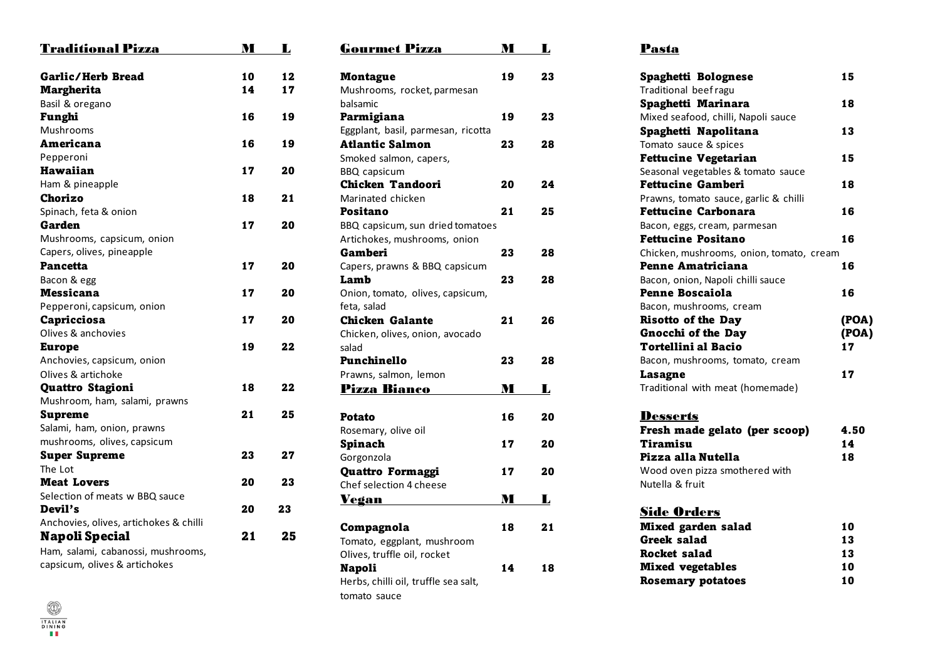| <b>Traditional Pizza</b>               | M  | L  |
|----------------------------------------|----|----|
| <b>Garlic/Herb Bread</b>               | 10 | 12 |
| <b>Margherita</b>                      | 14 | 17 |
| Basil & oregano                        |    |    |
| Funghi                                 | 16 | 19 |
| Mushrooms                              |    |    |
| Americana                              | 16 | 19 |
| Pepperoni                              |    |    |
| Hawaiian                               | 17 | 20 |
| Ham & pineapple                        |    |    |
| Chorizo                                | 18 | 21 |
| Spinach, feta & onion                  |    |    |
| Garden                                 | 17 | 20 |
| Mushrooms, capsicum, onion             |    |    |
| Capers, olives, pineapple              |    |    |
| <b>Pancetta</b>                        | 17 | 20 |
| Bacon & egg                            |    |    |
| Messicana                              | 17 | 20 |
| Pepperoni, capsicum, onion             |    |    |
| Capricciosa                            | 17 | 20 |
| Olives & anchovies                     |    |    |
| <b>Europe</b>                          | 19 | 22 |
| Anchovies, capsicum, onion             |    |    |
| Olives & artichoke                     |    |    |
| Quattro Stagioni                       | 18 | 22 |
| Mushroom, ham, salami, prawns          |    |    |
| <b>Supreme</b>                         | 21 | 25 |
| Salami, ham, onion, prawns             |    |    |
| mushrooms, olives, capsicum            |    |    |
| <b>Super Supreme</b>                   | 23 | 27 |
| The Lot                                |    |    |
| <b>Meat Lovers</b>                     | 20 | 23 |
| Selection of meats w BBQ sauce         |    |    |
| Devil's                                | 20 | 23 |
| Anchovies, olives, artichokes & chilli |    |    |
| Napoli Special                         | 21 | 25 |
| Ham, salami, cabanossi, mushrooms,     |    |    |
| capsicum, olives & artichokes          |    |    |

| <b>Gourmet Pizza</b>                  | M  | L  |
|---------------------------------------|----|----|
| <b>Montague</b>                       | 19 | 23 |
| Mushrooms, rocket, parmesan           |    |    |
| balsamic                              |    |    |
| Parmigiana                            | 19 | 23 |
| Eggplant, basil, parmesan, ricotta    |    |    |
| <b>Atlantic Salmon</b>                | 23 | 28 |
| Smoked salmon, capers,                |    |    |
| <b>BBQ</b> capsicum                   |    |    |
| <b>Chicken Tandoori</b>               | 20 | 24 |
| Marinated chicken                     |    |    |
| Positano                              | 21 | 25 |
| BBQ capsicum, sun dried tomatoes      |    |    |
| Artichokes, mushrooms, onion          |    |    |
| Gamberi                               | 23 | 28 |
| Capers, prawns & BBQ capsicum         |    |    |
| Lamb                                  | 23 | 28 |
| Onion, tomato, olives, capsicum,      |    |    |
| feta, salad                           |    |    |
| <b>Chicken Galante</b>                | 21 | 26 |
| Chicken, olives, onion, avocado       |    |    |
| salad                                 |    |    |
| Punchinello                           | 23 | 28 |
| Prawns, salmon, lemon                 |    |    |
| <b>Pizza Bianco</b>                   | M  | L  |
|                                       |    |    |
| Potato                                | 16 | 20 |
| Rosemary, olive oil<br><b>Spinach</b> | 17 | 20 |
| Gorgonzola                            |    |    |
| Quattro Formaggi                      | 17 | 20 |
| Chef selection 4 cheese               |    |    |
|                                       | M  |    |
| <u>Vegan</u>                          |    | Ы  |
| Compagnola                            | 18 | 21 |
| Tomato, eggplant, mushroom            |    |    |
| Olives, truffle oil, rocket           |    |    |
| <b>Napoli</b>                         | 14 | 18 |
| Herbs, chilli oil, truffle sea salt,  |    |    |
| tomato sauce                          |    |    |
|                                       |    |    |

# Pasta

| Spaghetti Bolognese                      | 15    |
|------------------------------------------|-------|
| Traditional beef ragu                    |       |
| Spaghetti Marinara                       | 18    |
| Mixed seafood, chilli, Napoli sauce      |       |
| Spaghetti Napolitana                     | 13    |
| Tomato sauce & spices                    |       |
| <b>Fettucine Vegetarian</b>              | 15    |
| Seasonal vegetables & tomato sauce       |       |
| <b>Fettucine Gamberi</b>                 | 18    |
| Prawns, tomato sauce, garlic & chilli    |       |
| <b>Fettucine Carbonara</b>               | 16    |
| Bacon, eggs, cream, parmesan             |       |
| <b>Fettucine Positano</b>                | 16    |
| Chicken, mushrooms, onion, tomato, cream |       |
| Penne Amatriciana                        | 16    |
| Bacon, onion, Napoli chilli sauce        |       |
| <b>Penne Boscaiola</b>                   | 16    |
| Bacon, mushrooms, cream                  |       |
| <b>Risotto of the Day</b>                | (POA) |
| <b>Gnocchi of the Dav</b>                | (POA) |
| Tortellini al Bacio                      | 17    |
| Bacon, mushrooms, tomato, cream          |       |
| Lasagne                                  | 17    |
| Traditional with meat (homemade)         |       |
| <b>Desserts</b>                          |       |
| Fresh made gelato (per scoop)            | 4.50  |
| Tiramisu                                 | 14    |
| Pizza alla Nutella                       | 18    |
| Wood oven pizza smothered with           |       |

# **Side Orders**

Nutella & fruit

| Mixed garden salad       | 10 |
|--------------------------|----|
| Greek salad              | 13 |
| Rocket salad             | 13 |
| <b>Mixed vegetables</b>  | 10 |
| <b>Rosemary potatoes</b> | 10 |

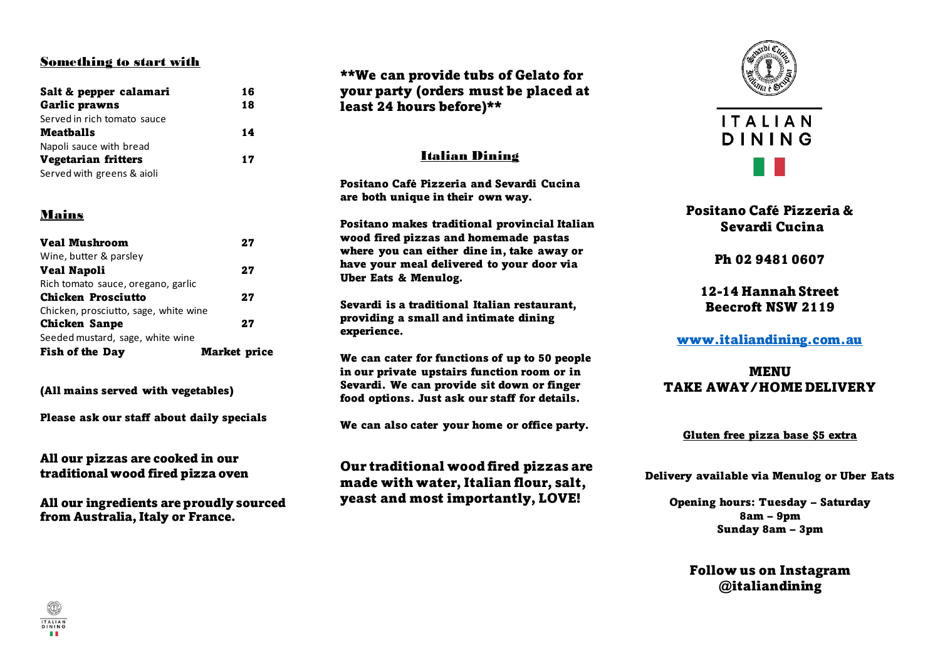#### Something to start with

| Salt & pepper calamari      | 16 |
|-----------------------------|----|
| <b>Garlic prawns</b>        | 18 |
| Served in rich tomato sauce |    |
| <b>Meatballs</b>            | 14 |
| Napoli sauce with bread     |    |
| <b>Vegetarian fritters</b>  | 17 |
| Served with greens & aioli  |    |

### Mains

| <b>Veal Mushroom</b>                  | 27                  |
|---------------------------------------|---------------------|
| Wine, butter & parsley                |                     |
| <b>Veal Napoli</b>                    | 27                  |
| Rich tomato sauce, oregano, garlic    |                     |
| <b>Chicken Prosciutto</b>             | 27                  |
| Chicken, prosciutto, sage, white wine |                     |
| <b>Chicken Sanpe</b>                  | 27                  |
| Seeded mustard, sage, white wine      |                     |
| <b>Fish of the Day</b>                | <b>Market price</b> |

(All mains served with vegetables)

Please ask our staff about daily specials

All our pizzas are cooked in our traditional wood fired pizza oven

All our ingredients are proudly sourced from Australia, Italy or France.

\*\*We can provide tubs of Gelato for your party (orders must be placed at least 24 hours before)\*\*

### Italian Dining

Positano Café Pizzeria and Sevardi Cucina are both unique in their own way.

Positano makes traditional provincial Italian wood fired pizzas and homemade pastas where you can either dine in, take away or have your meal delivered to your door via Uber Eats & Menulog.

Sevardi is a traditional Italian restaurant, providing a small and intimate dining experience.

We can cater for functions of up to 50 people in our private upstairs function room or in Sevardi. We can provide sit down or finger food options. Just ask our staff for details.

We can also cater your home or office party.

Our traditional wood fired pizzas are made with water, Italian flour, salt, yeast and most importantly, LOVE!





# Positano Café Pizzeria & Sevardi Cucina

Ph 02 9481 0607

12-14 Hannah Street Beecroft NSW 2119

# [www.italiandining.com.au](http://www.italiandining.com.au/)

MENU TAKE AWAY/HOME DELIVERY

#### Gluten free pizza base \$5 extra

Delivery available via Menulog or Uber Eats

Opening hours: Tuesday – Saturday 8am – 9pm Sunday 8am – 3pm

Follow us on Instagram @italiandining